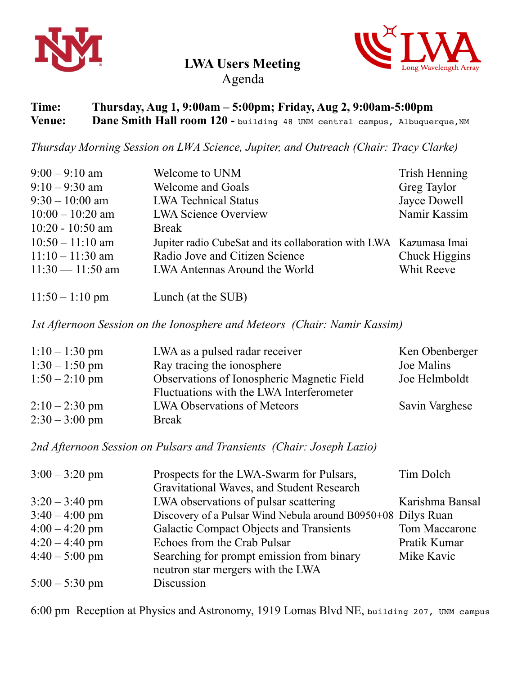

## **LWA Users Meeting**



Agenda

## **Time: Thursday, Aug 1, 9:00am – 5:00pm; Friday, Aug 2, 9:00am-5:00pm Venue:** Dane Smith Hall room 120 - building 48 UNM central campus, Albuquerque, NM

*Thursday Morning Session on LWA Science, Jupiter, and Outreach (Chair: Tracy Clarke)* 

| $9:00 - 9:10$ am   | Welcome to UNM                                                     | Trish Henning |
|--------------------|--------------------------------------------------------------------|---------------|
| $9:10 - 9:30$ am   | <b>Welcome and Goals</b>                                           | Greg Taylor   |
| $9:30 - 10:00$ am  | <b>LWA Technical Status</b>                                        | Jayce Dowell  |
| $10:00 - 10:20$ am | <b>LWA Science Overview</b>                                        | Namir Kassim  |
| $10:20 - 10:50$ am | <b>Break</b>                                                       |               |
| $10:50 - 11:10$ am | Jupiter radio CubeSat and its collaboration with LWA Kazumasa Imai |               |
| $11:10 - 11:30$ am | Radio Jove and Citizen Science                                     | Chuck Higgins |
| $11:30 - 11:50$ am | LWA Antennas Around the World                                      | Whit Reeve    |
|                    |                                                                    |               |

11:50 – 1:10 pm Lunch (at the SUB)

*1st Afternoon Session on the Ionosphere and Meteors (Chair: Namir Kassim)* 

| $1:10-1:30$ pm   | LWA as a pulsed radar receiver                    | Ken Obenberger |
|------------------|---------------------------------------------------|----------------|
| $1:30 - 1:50$ pm | Ray tracing the ionosphere                        | Joe Malins     |
| $1:50 - 2:10$ pm | <b>Observations of Ionospheric Magnetic Field</b> | Joe Helmboldt  |
|                  | Fluctuations with the LWA Interferometer          |                |
| $2:10-2:30$ pm   | <b>LWA Observations of Meteors</b>                | Savin Varghese |
| $2:30 - 3:00$ pm | <b>Break</b>                                      |                |

*2nd Afternoon Session on Pulsars and Transients (Chair: Joseph Lazio)* 

| $3:00 - 3:20$ pm | Prospects for the LWA-Swarm for Pulsars,                     | Tim Dolch       |
|------------------|--------------------------------------------------------------|-----------------|
|                  | Gravitational Waves, and Student Research                    |                 |
| $3:20 - 3:40$ pm | LWA observations of pulsar scattering                        | Karishma Bansal |
| $3:40 - 4:00$ pm | Discovery of a Pulsar Wind Nebula around B0950+08 Dilys Ruan |                 |
| $4:00 - 4:20$ pm | <b>Galactic Compact Objects and Transients</b>               | Tom Maccarone   |
| $4:20 - 4:40$ pm | Echoes from the Crab Pulsar                                  | Pratik Kumar    |
| $4:40 - 5:00$ pm | Searching for prompt emission from binary                    | Mike Kavic      |
|                  | neutron star mergers with the LWA                            |                 |
| $5:00 - 5:30$ pm | Discussion                                                   |                 |

6:00 pm Reception at Physics and Astronomy, 1919 Lomas Blvd NE, building 207, UNM campus